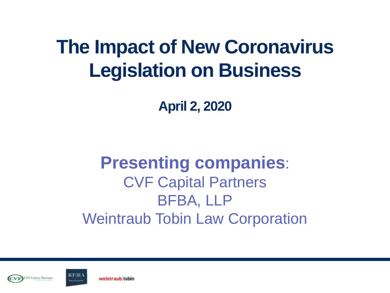#### **The Impact of New Coronavirus Legislation on Business**

**April 2, 2020**

#### **Presenting companies**: CVF Capital Partners BFBA, LLP Weintraub Tobin Law Corporation



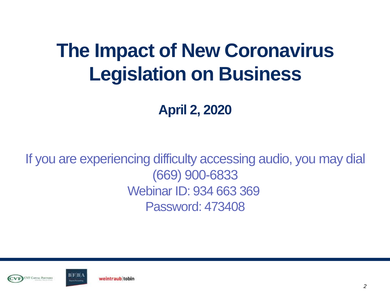#### **The Impact of New Coronavirus Legislation on Business**

**April 2, 2020**

If you are experiencing difficulty accessing audio, you may dial (669) 900-6833 Webinar ID: 934 663 369 Password: 473408



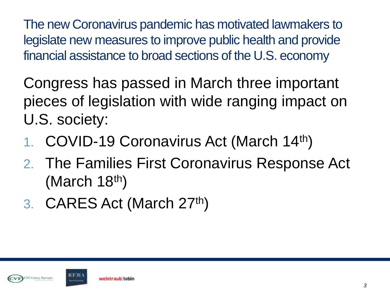The new Coronavirus pandemic has motivated lawmakers to legislate new measures to improve public health and provide financial assistance to broad sections of the U.S. economy

Congress has passed in March three important pieces of legislation with wide ranging impact on U.S. society:

- 1. COVID-19 Coronavirus Act (March 14th)
- 2. The Families First Coronavirus Response Act (March 18<sup>th</sup>)
- 3. CARES Act (March 27th)



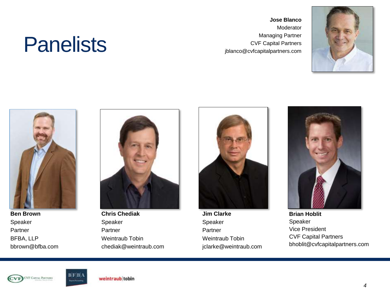#### **Panelists**

**Jose Blanco** Moderator Managing Partner CVF Capital Partners jblanco@cvfcapitalpartners.com





**Ben Brown** Speaker Partner BFBA, LLP bbrown@bfba.com



**Chris Chediak** Speaker Partner Weintraub Tobin chediak@weintraub.com

**Jim Clarke** Speaker Partner Weintraub Tobin jclarke@weintraub.com



**Brian Hoblit** Speaker Vice President CVF Capital Partners bhoblit@cvfcapitalpartners.com



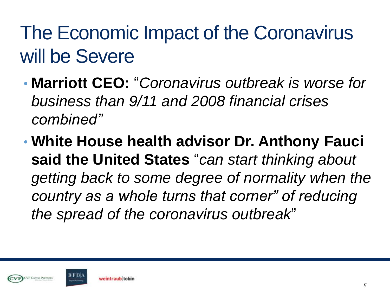#### The Economic Impact of the Coronavirus will be Severe

- **Marriott CEO:** "*Coronavirus outbreak is worse for business than 9/11 and 2008 financial crises combined"*
- **White House health advisor Dr. Anthony Fauci said the United States** "*can start thinking about getting back to some degree of normality when the country as a whole turns that corner" of reducing the spread of the coronavirus outbreak*"



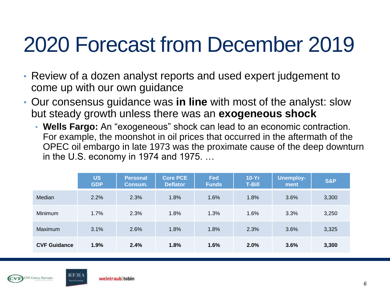#### 2020 Forecast from December 2019

- Review of a dozen analyst reports and used expert judgement to come up with our own guidance
- Our consensus guidance was **in line** with most of the analyst: slow but steady growth unless there was an **exogeneous shock**
	- **Wells Fargo:** An "exogeneous" shock can lead to an economic contraction. For example, the moonshot in oil prices that occurred in the aftermath of the OPEC oil embargo in late 1973 was the proximate cause of the deep downturn in the U.S. economy in 1974 and 1975. …

|                     | <b>US</b><br><b>GDP</b> | <b>Personal</b><br>Consum. | <b>Core PCE</b><br><b>Deflator</b> | Fed<br><b>Funds</b> | $10-Yr$<br><b>T-Bill</b> | <b>Unemploy-</b><br>ment | <b>S&amp;P</b> |
|---------------------|-------------------------|----------------------------|------------------------------------|---------------------|--------------------------|--------------------------|----------------|
| Median              | 2.2%                    | 2.3%                       | 1.8%                               | 1.6%                | 1.8%                     | 3.6%                     | 3,300          |
| Minimum             | 1.7%                    | 2.3%                       | 1.8%                               | 1.3%                | 1.6%                     | 3.3%                     | 3,250          |
| <b>Maximum</b>      | 3.1%                    | 2.6%                       | 1.8%                               | 1.8%                | 2.3%                     | 3.6%                     | 3,325          |
| <b>CVF Guidance</b> | 1.9%                    | 2.4%                       | 1.8%                               | 1.6%                | 2.0%                     | 3.6%                     | 3,300          |



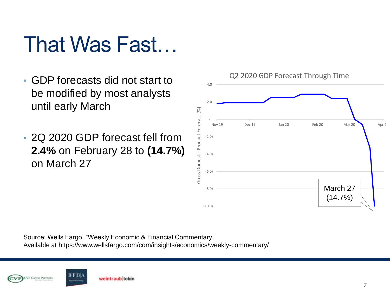#### That Was Fast…

- GDP forecasts did not start to be modified by most analysts until early March
- 2Q 2020 GDP forecast fell from **2.4%** on February 28 to **(14.7%)**  on March 27



Source: Wells Fargo, "Weekly Economic & Financial Commentary." Available at https://www.wellsfargo.com/com/insights/economics/weekly-commentary/



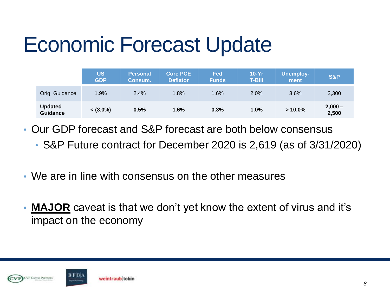#### Economic Forecast Update

|                                   | <b>US</b><br><b>GDP</b> | <b>Personal</b><br>Consum. | <b>Core PCE</b><br><b>Deflator</b> | <b>Fed</b><br><b>Funds</b> | $10-Yr$<br><b>T-Bill</b> | Unemploy-<br>ment | <b>S&amp;P</b>     |
|-----------------------------------|-------------------------|----------------------------|------------------------------------|----------------------------|--------------------------|-------------------|--------------------|
| Orig. Guidance                    | 1.9%                    | 2.4%                       | 1.8%                               | 1.6%                       | 2.0%                     | 3.6%              | 3,300              |
| <b>Updated</b><br><b>Guidance</b> | $<$ (3.0%)              | 0.5%                       | 1.6%                               | 0.3%                       | $1.0\%$                  | $>10.0\%$         | $2,000 -$<br>2,500 |

- Our GDP forecast and S&P forecast are both below consensus
	- S&P Future contract for December 2020 is 2,619 (as of 3/31/2020)
- We are in line with consensus on the other measures
- **MAJOR** caveat is that we don't yet know the extent of virus and it's impact on the economy



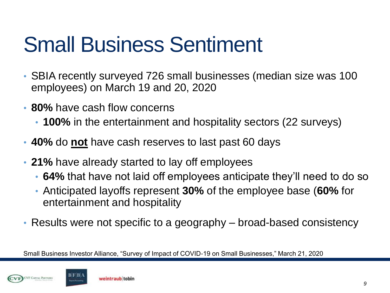#### Small Business Sentiment

- SBIA recently surveyed 726 small businesses (median size was 100 employees) on March 19 and 20, 2020
- **80%** have cash flow concerns
	- **100%** in the entertainment and hospitality sectors (22 surveys)
- **40%** do **not** have cash reserves to last past 60 days
- **21%** have already started to lay off employees
	- **64%** that have not laid off employees anticipate they'll need to do so
	- Anticipated layoffs represent **30%** of the employee base (**60%** for entertainment and hospitality
- Results were not specific to a geography broad-based consistency

Small Business Investor Alliance, "Survey of Impact of COVID-19 on Small Businesses," March 21, 2020

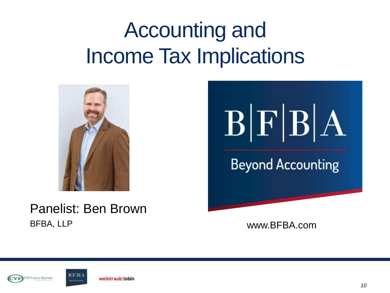#### Accounting and Income Tax Implications



Panelist: Ben Brown BFBA, LLP www.BFBA.com







weintraub tobin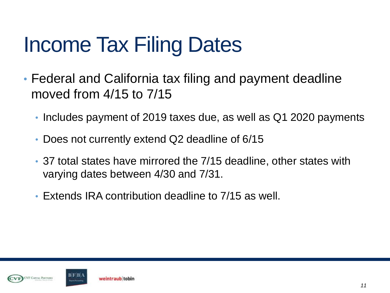### Income Tax Filing Dates

- Federal and California tax filing and payment deadline moved from 4/15 to 7/15
	- Includes payment of 2019 taxes due, as well as Q1 2020 payments
	- Does not currently extend Q2 deadline of 6/15
	- 37 total states have mirrored the 7/15 deadline, other states with varying dates between 4/30 and 7/31.
	- Extends IRA contribution deadline to 7/15 as well.



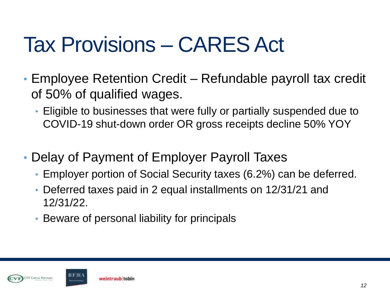#### Tax Provisions – CARES Act

- Employee Retention Credit Refundable payroll tax credit of 50% of qualified wages.
	- Eligible to businesses that were fully or partially suspended due to COVID-19 shut-down order OR gross receipts decline 50% YOY
- Delay of Payment of Employer Payroll Taxes
	- Employer portion of Social Security taxes (6.2%) can be deferred.
	- Deferred taxes paid in 2 equal installments on 12/31/21 and 12/31/22.
	- Beware of personal liability for principals



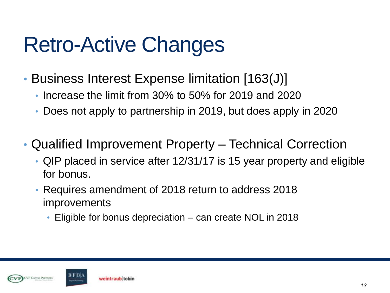#### Retro-Active Changes

- Business Interest Expense limitation [163(J)]
	- Increase the limit from 30% to 50% for 2019 and 2020
	- Does not apply to partnership in 2019, but does apply in 2020
- Qualified Improvement Property Technical Correction
	- QIP placed in service after 12/31/17 is 15 year property and eligible for bonus.
	- Requires amendment of 2018 return to address 2018 improvements
		- Eligible for bonus depreciation can create NOL in 2018



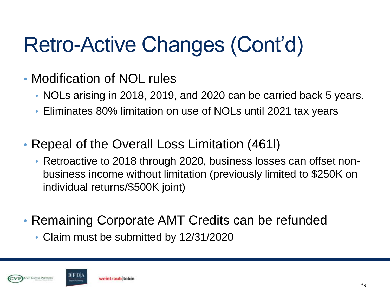# Retro-Active Changes (Cont'd)

- Modification of NOL rules
	- NOLs arising in 2018, 2019, and 2020 can be carried back 5 years.
	- Eliminates 80% limitation on use of NOLs until 2021 tax years
- Repeal of the Overall Loss Limitation (461l)
	- Retroactive to 2018 through 2020, business losses can offset nonbusiness income without limitation (previously limited to \$250K on individual returns/\$500K joint)
- Remaining Corporate AMT Credits can be refunded
	- Claim must be submitted by 12/31/2020



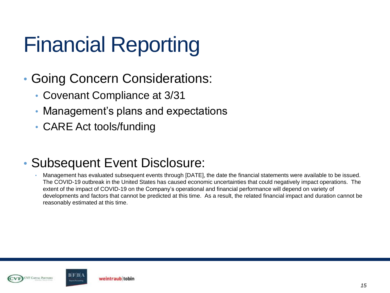### Financial Reporting

- Going Concern Considerations:
	- Covenant Compliance at 3/31
	- Management's plans and expectations
	- CARE Act tools/funding

#### • Subsequent Event Disclosure:

• Management has evaluated subsequent events through [DATE], the date the financial statements were available to be issued. The COVID-19 outbreak in the United States has caused economic uncertainties that could negatively impact operations. The extent of the impact of COVID-19 on the Company's operational and financial performance will depend on variety of developments and factors that cannot be predicted at this time. As a result, the related financial impact and duration cannot be reasonably estimated at this time.



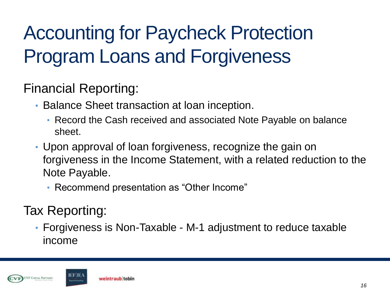#### Accounting for Paycheck Protection Program Loans and Forgiveness

Financial Reporting:

- Balance Sheet transaction at loan inception.
	- Record the Cash received and associated Note Payable on balance sheet.
- Upon approval of loan forgiveness, recognize the gain on forgiveness in the Income Statement, with a related reduction to the Note Payable.
	- Recommend presentation as "Other Income"

Tax Reporting:

• Forgiveness is Non-Taxable - M-1 adjustment to reduce taxable income



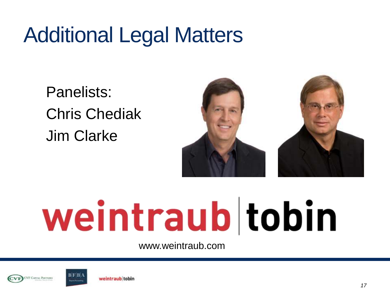#### Additional Legal Matters

Panelists: Chris Chediak Jim Clarke



# weintraub tobin

www.weintraub.com



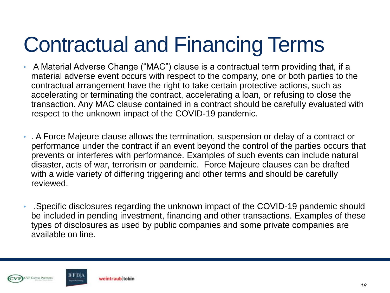#### Contractual and Financing Terms

- A Material Adverse Change ("MAC") clause is a contractual term providing that, if a material adverse event occurs with respect to the company, one or both parties to the contractual arrangement have the right to take certain protective actions, such as accelerating or terminating the contract, accelerating a loan, or refusing to close the transaction. Any MAC clause contained in a contract should be carefully evaluated with respect to the unknown impact of the COVID-19 pandemic.
- . A Force Majeure clause allows the termination, suspension or delay of a contract or performance under the contract if an event beyond the control of the parties occurs that prevents or interferes with performance. Examples of such events can include natural disaster, acts of war, terrorism or pandemic. Force Majeure clauses can be drafted with a wide variety of differing triggering and other terms and should be carefully reviewed.
- .Specific disclosures regarding the unknown impact of the COVID-19 pandemic should be included in pending investment, financing and other transactions. Examples of these types of disclosures as used by public companies and some private companies are available on line.



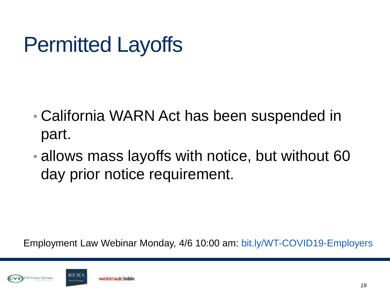#### Permitted Layoffs

- California WARN Act has been suspended in part.
- allows mass layoffs with notice, but without 60 day prior notice requirement.



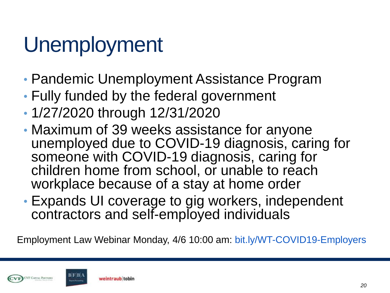#### Unemployment

- Pandemic Unemployment Assistance Program
- Fully funded by the federal government
- 1/27/2020 through 12/31/2020
- Maximum of 39 weeks assistance for anyone unemployed due to COVID-19 diagnosis, caring for someone with COVID-19 diagnosis, caring for children home from school, or unable to reach workplace because of a stay at home order
- Expands UI coverage to gig workers, independent contractors and self-employed individuals



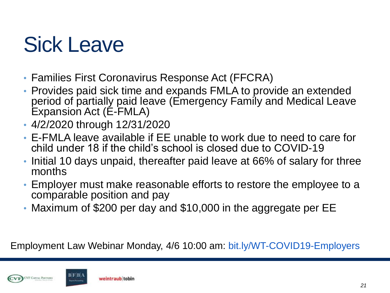#### Sick Leave

- Families First Coronavirus Response Act (FFCRA)
- Provides paid sick time and expands FMLA to provide an extended period of partially paid leave (Emergency Family and Medical Leave Expansion Act (E-FMLA)
- 4/2/2020 through 12/31/2020
- E-FMLA leave available if EE unable to work due to need to care for child under 18 if the child's school is closed due to COVID-19
- Initial 10 days unpaid, thereafter paid leave at 66% of salary for three months
- Employer must make reasonable efforts to restore the employee to a comparable position and pay
- Maximum of \$200 per day and \$10,000 in the aggregate per EE



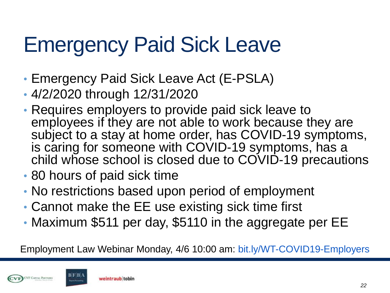#### Emergency Paid Sick Leave

- Emergency Paid Sick Leave Act (E-PSLA)
- 4/2/2020 through 12/31/2020
- Requires employers to provide paid sick leave to employees if they are not able to work because they are subject to a stay at home order, has COVID-19 symptoms, is caring for someone with COVID-19 symptoms, has a child whose school is closed due to COVID-19 precautions
- 80 hours of paid sick time
- No restrictions based upon period of employment
- Cannot make the EE use existing sick time first
- Maximum \$511 per day, \$5110 in the aggregate per EE



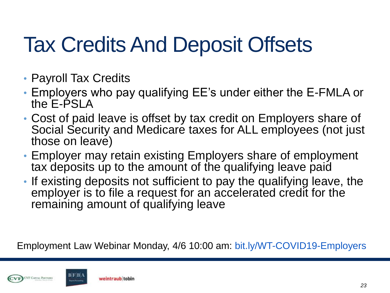#### Tax Credits And Deposit Offsets

- Payroll Tax Credits
- Employers who pay qualifying EE's under either the E-FMLA or the E-PSLA
- Cost of paid leave is offset by tax credit on Employers share of Social Security and Medicare taxes for ALL employees (not just those on leave)
- Employer may retain existing Employers share of employment tax deposits up to the amount of the qualifying leave paid
- If existing deposits not sufficient to pay the qualifying leave, the employer is to file a request for an accelerated credit for the remaining amount of qualifying leave



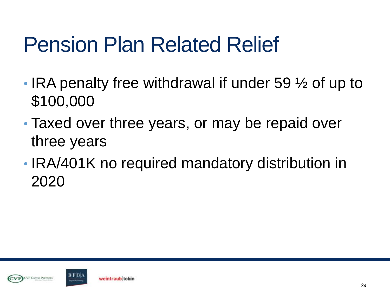#### Pension Plan Related Relief

- IRA penalty free withdrawal if under 59  $\frac{1}{2}$  of up to \$100,000
- Taxed over three years, or may be repaid over three years
- IRA/401K no required mandatory distribution in 2020



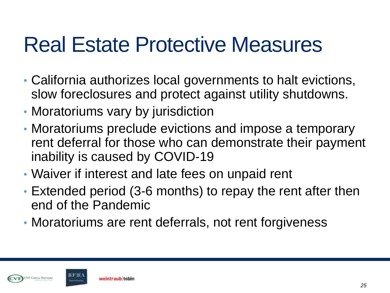#### Real Estate Protective Measures

- California authorizes local governments to halt evictions, slow foreclosures and protect against utility shutdowns.
- Moratoriums vary by jurisdiction
- Moratoriums preclude evictions and impose a temporary rent deferral for those who can demonstrate their payment inability is caused by COVID-19
- Waiver if interest and late fees on unpaid rent
- Extended period (3-6 months) to repay the rent after then end of the Pandemic
- Moratoriums are rent deferrals, not rent forgiveness



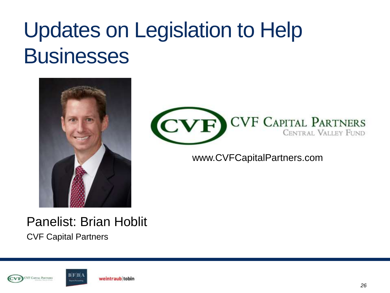#### Updates on Legislation to Help **Businesses**





www.CVFCapitalPartners.com

#### Panelist: Brian Hoblit CVF Capital Partners



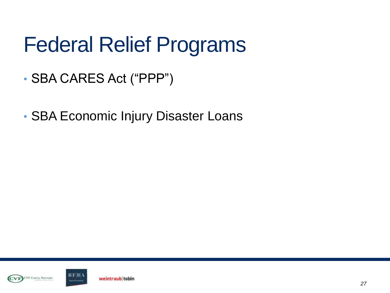#### Federal Relief Programs

- SBA CARES Act ("PPP")
- SBA Economic Injury Disaster Loans



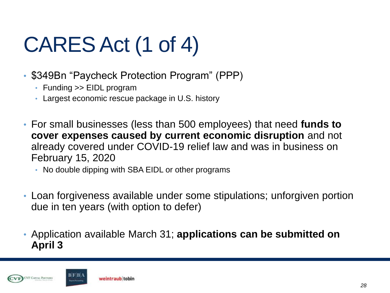# CARES Act (1 of 4)

- \$349Bn "Paycheck Protection Program" (PPP)
	- Funding >> EIDL program
	- Largest economic rescue package in U.S. history
- For small businesses (less than 500 employees) that need **funds to cover expenses caused by current economic disruption** and not already covered under COVID-19 relief law and was in business on February 15, 2020
	- No double dipping with SBA EIDL or other programs
- Loan forgiveness available under some stipulations; unforgiven portion due in ten years (with option to defer)
- Application available March 31; **applications can be submitted on April 3**



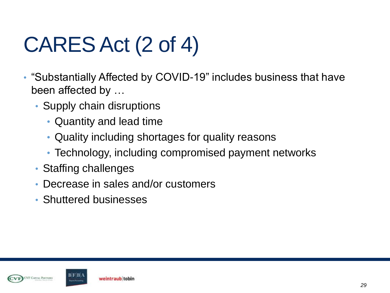# CARES Act (2 of 4)

- "Substantially Affected by COVID-19" includes business that have been affected by …
	- Supply chain disruptions
		- Quantity and lead time
		- Quality including shortages for quality reasons
		- Technology, including compromised payment networks
	- Staffing challenges
	- Decrease in sales and/or customers
	- Shuttered businesses



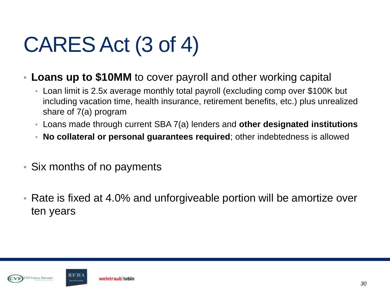# CARES Act (3 of 4)

- **Loans up to \$10MM** to cover payroll and other working capital
	- Loan limit is 2.5x average monthly total payroll (excluding comp over \$100K but including vacation time, health insurance, retirement benefits, etc.) plus unrealized share of 7(a) program
	- Loans made through current SBA 7(a) lenders and **other designated institutions**
	- **No collateral or personal guarantees required**; other indebtedness is allowed
- Six months of no payments
- Rate is fixed at 4.0% and unforgiveable portion will be amortize over ten years



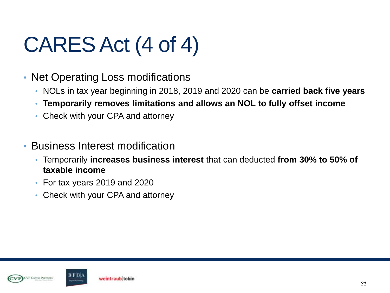# CARES Act (4 of 4)

- Net Operating Loss modifications
	- NOLs in tax year beginning in 2018, 2019 and 2020 can be **carried back five years**
	- **Temporarily removes limitations and allows an NOL to fully offset income**
	- Check with your CPA and attorney
- Business Interest modification
	- Temporarily **increases business interest** that can deducted **from 30% to 50% of taxable income**
	- For tax years 2019 and 2020
	- Check with your CPA and attorney



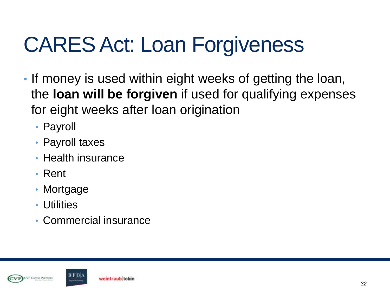## CARES Act: Loan Forgiveness

- If money is used within eight weeks of getting the loan, the **loan will be forgiven** if used for qualifying expenses for eight weeks after loan origination
	- Payroll
	- Payroll taxes
	- Health insurance
	- Rent
	- Mortgage
	- Utilities
	- Commercial insurance



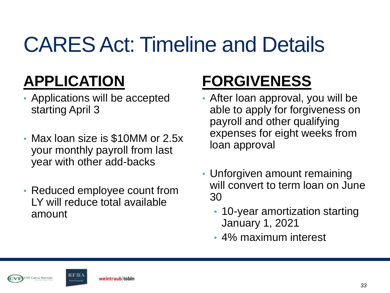### CARES Act: Timeline and Details

#### **APPLICATION**

- Applications will be accepted starting April 3
- Max loan size is \$10MM or 2.5x your monthly payroll from last year with other add-backs
- Reduced employee count from LY will reduce total available amount

#### **FORGIVENESS**

- After loan approval, you will be able to apply for forgiveness on payroll and other qualifying expenses for eight weeks from loan approval
- Unforgiven amount remaining will convert to term loan on June 30
	- 10-year amortization starting January 1, 2021
	- 4% maximum interest



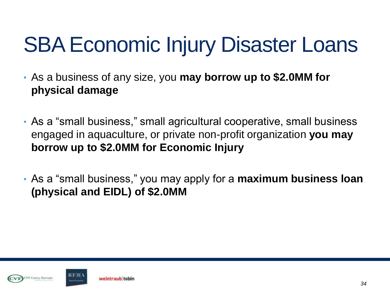#### SBA Economic Injury Disaster Loans

- As a business of any size, you **may borrow up to \$2.0MM for physical damage**
- As a "small business," small agricultural cooperative, small business engaged in aquaculture, or private non-profit organization **you may borrow up to \$2.0MM for Economic Injury**
- As a "small business," you may apply for a **maximum business loan (physical and EIDL) of \$2.0MM**



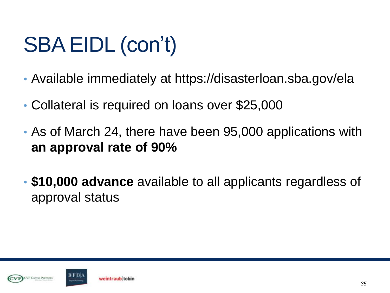## SBA EIDL (con't)

- Available immediately at https://disasterloan.sba.gov/ela
- Collateral is required on loans over \$25,000
- As of March 24, there have been 95,000 applications with **an approval rate of 90%**
- **\$10,000 advance** available to all applicants regardless of approval status



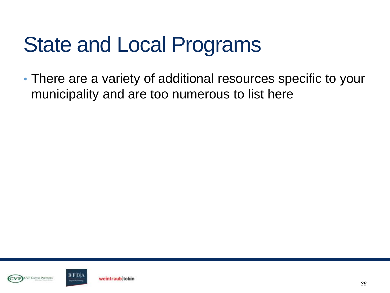#### State and Local Programs

• There are a variety of additional resources specific to your municipality and are too numerous to list here



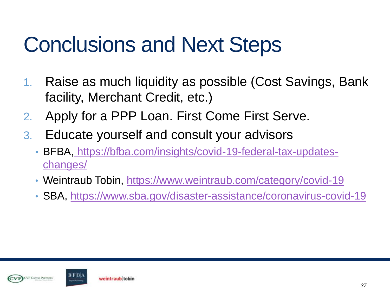#### Conclusions and Next Steps

- 1. Raise as much liquidity as possible (Cost Savings, Bank facility, Merchant Credit, etc.)
- 2. Apply for a PPP Loan. First Come First Serve.
- 3. Educate yourself and consult your advisors
	- BFBA, [https://bfba.com/insights/covid-19-federal-tax-updates](https://bfba.com/insights/covid-19-federal-tax-updates-changes/)[changes/](https://bfba.com/insights/covid-19-federal-tax-updates-changes/)
	- Weintraub Tobin,<https://www.weintraub.com/category/covid-19>
	- SBA,<https://www.sba.gov/disaster-assistance/coronavirus-covid-19>



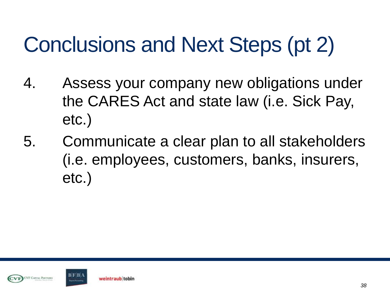## Conclusions and Next Steps (pt 2)

- 4. Assess your company new obligations under the CARES Act and state law (i.e. Sick Pay, etc.)
- 5. Communicate a clear plan to all stakeholders (i.e. employees, customers, banks, insurers, etc.)